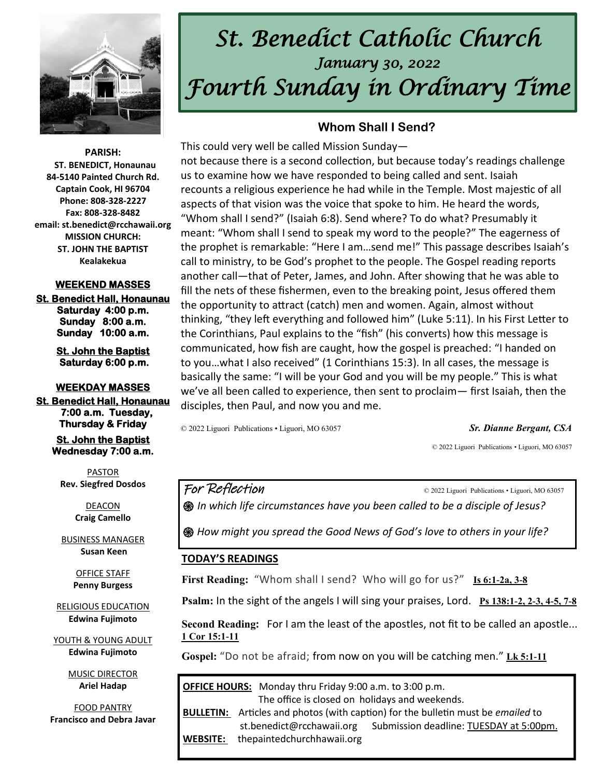

# *St. Benedict Catholic Church January 30, 2022 Fourth Sunday in Ordinary Time*

**PARISH: ST. BENEDICT, Honaunau 84-5140 Painted Church Rd. Captain Cook, HI 96704 Phone: 808-328-2227 Fax: 808-328-8482 email: st.benedict@rcchawaii.org MISSION CHURCH: ST. JOHN THE BAPTIST Kealakekua** 

#### **WEEKEND MASSES**

**St. Benedict Hall, Honaunau Saturday 4:00 p.m. Sunday 8:00 a.m. Sunday 10:00 a.m.** 

> **St. John the Baptist Saturday 6:00 p.m.**

**WEEKDAY MASSES St. Benedict Hall, Honaunau** 

 **7:00 a.m. Tuesday, Thursday & Friday** 

> **St. John the Baptist Wednesday 7:00 a.m.**

PASTOR **Rev. Siegfred Dosdos**

> DEACON **Craig Camello**

BUSINESS MANAGER **Susan Keen**

> OFFICE STAFF **Penny Burgess**

RELIGIOUS EDUCATION **Edwina Fujimoto**

YOUTH & YOUNG ADULT **Edwina Fujimoto**

> MUSIC DIRECTOR **Ariel Hadap**

FOOD PANTRY **Francisco and Debra Javar**

#### **Whom Shall I Send?**

This could very well be called Mission Sunday not because there is a second collection, but because today's readings challenge us to examine how we have responded to being called and sent. Isaiah recounts a religious experience he had while in the Temple. Most majestic of all aspects of that vision was the voice that spoke to him. He heard the words, "Whom shall I send?" (Isaiah 6:8). Send where? To do what? Presumably it meant: "Whom shall I send to speak my word to the people?" The eagerness of the prophet is remarkable: "Here I am…send me!" This passage describes Isaiah's call to ministry, to be God's prophet to the people. The Gospel reading reports another call—that of Peter, James, and John. After showing that he was able to fill the nets of these fishermen, even to the breaking point, Jesus offered them the opportunity to attract (catch) men and women. Again, almost without thinking, "they left everything and followed him" (Luke 5:11). In his First Letter to the Corinthians, Paul explains to the "fish" (his converts) how this message is communicated, how fish are caught, how the gospel is preached: "I handed on to you…what I also received" (1 Corinthians 15:3). In all cases, the message is basically the same: "I will be your God and you will be my people." This is what we've all been called to experience, then sent to proclaim— first Isaiah, then the disciples, then Paul, and now you and me.

© 2022 Liguori Publications • Liguori, MO 63057 *Sr. Dianne Bergant, CSA* 

© 2022 Liguori Publications • Liguori, MO 63057

For Reflection C 2022 Liguori Publications • Liguori, MO 63057

*֍ In which life circumstances have you been called to be a disciple of Jesus?* 

**֍** *How might you spread the Good News of God's love to others in your life?* 

#### **TODAY'S READINGS**

**First Reading:** "Whom shall I send? Who will go for us?" **[Is 6:1-2a, 3-8](https://bible.usccb.org/bible/isaiah/6?1)**

**Psalm:** In the sight of the angels I will sing your praises, Lord. **[Ps 138:1-2, 2-3, 4-5, 7-8](https://bible.usccb.org/bible/psalms/138?1)**

**Second Reading:** For I am the least of the apostles, not fit to be called an apostle... **[1 Cor 15:1-11](https://bible.usccb.org/bible/1corinthians/15?1)**

**Gospel:** "Do not be afraid; from now on you will be catching men." **[Lk 5:1-11](https://bible.usccb.org/bible/luke/5?1)**

**OFFICE HOURS:** Monday thru Friday 9:00 a.m. to 3:00 p.m. The office is closed on holidays and weekends. **BULLETIN:** Articles and photos (with caption) for the bulletin must be *emailed* to st.benedict@rcchawaii.org Submission deadline: TUESDAY at 5:00pm. **WEBSITE:** thepaintedchurchhawaii.org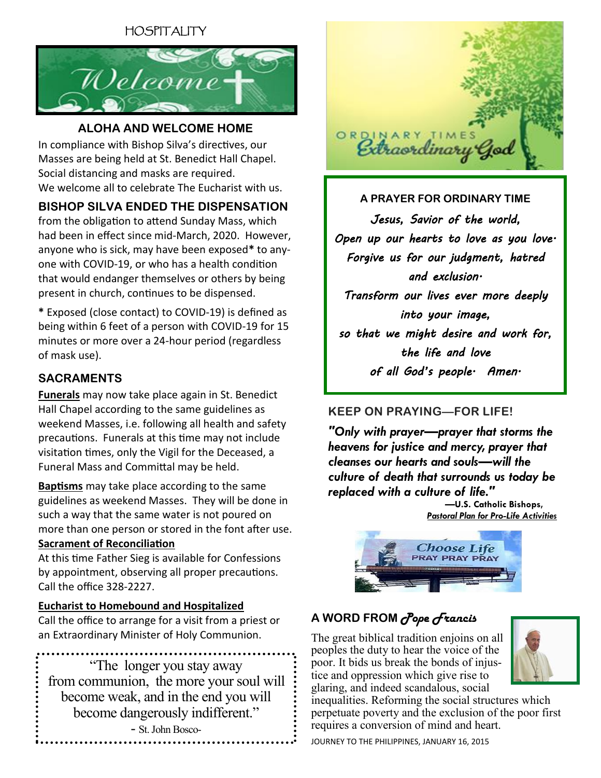# HOSPITALITY



#### **ALOHA AND WELCOME HOME**

In compliance with Bishop Silva's directives, our Masses are being held at St. Benedict Hall Chapel. Social distancing and masks are required. We welcome all to celebrate The Eucharist with us.

### **BISHOP SILVA ENDED THE DISPENSATION**

from the obligation to attend Sunday Mass, which had been in effect since mid-March, 2020. However, anyone who is sick, may have been exposed**\*** to anyone with COVID-19, or who has a health condition that would endanger themselves or others by being present in church, continues to be dispensed.

**\*** Exposed (close contact) to COVID-19) is defined as being within 6 feet of a person with COVID-19 for 15 minutes or more over a 24-hour period (regardless of mask use).

#### **SACRAMENTS**

**Funerals** may now take place again in St. Benedict Hall Chapel according to the same guidelines as weekend Masses, i.e. following all health and safety precautions. Funerals at this time may not include visitation times, only the Vigil for the Deceased, a Funeral Mass and Committal may be held.

**Baptisms** may take place according to the same guidelines as weekend Masses. They will be done in such a way that the same water is not poured on more than one person or stored in the font after use. **Sacrament of Reconciliation**

At this time Father Sieg is available for Confessions by appointment, observing all proper precautions. Call the office 328-2227.

#### **Eucharist to Homebound and Hospitalized**

Call the office to arrange for a visit from a priest or an Extraordinary Minister of Holy Communion.

"The longer you stay away from communion, the more your soul will become weak, and in the end you will become dangerously indifferent." - St. John Bosco-



**A PRAYER FOR ORDINARY TIME** *Jesus, Savior of the world, Open up our hearts to love as you love. Forgive us for our judgment, hatred and exclusion. Transform our lives ever more deeply into your image, so that we might desire and work for, the life and love of all God's people. Amen.* 

### **KEEP ON PRAYING—FOR LIFE!**

*"Only with prayer—prayer that storms the heavens for justice and mercy, prayer that cleanses our hearts and souls—will the culture of death that surrounds us today be replaced with a culture of life."*

 *—***U.S. Catholic Bishops,** *[Pastoral Plan for Pro-Life Activities](http://www.usccb.org/about/pro-life-activities/pastoral-plan-prolife-activities.cfm)*



## **A WORD FROM** *Pope Francis*

The great biblical tradition enjoins on all peoples the duty to hear the voice of the poor. It bids us break the bonds of injustice and oppression which give rise to glaring, and indeed scandalous, social



inequalities. Reforming the social structures which perpetuate poverty and the exclusion of the poor first requires a conversion of mind and heart.

JOURNEY TO THE PHILIPPINES, JANUARY 16, 2015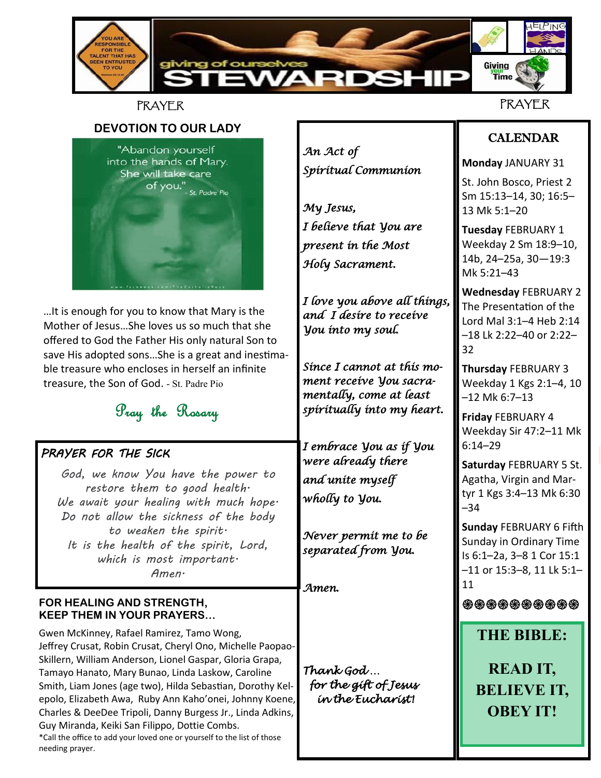

### PRAYER

**DEVOTION TO OUR LADY** "Abandon yourself into the hands of Mary. She will take care of you."<br>Of you."<br>st Padre Pio

…It is enough for you to know that Mary is the Mother of Jesus…She loves us so much that she offered to God the Father His only natural Son to save His adopted sons…She is a great and inestimable treasure who encloses in herself an infinite treasure, the Son of God. - St. Padre Pio

# Pray the Rosary

### *PRAYER FOR THE SICK*

 *God, we know You have the power to restore them to good health. We await your healing with much hope. Do not allow the sickness of the body to weaken the spirit. It is the health of the spirit, Lord, which is most important. Amen.*

#### **FOR HEALING AND STRENGTH, KEEP THEM IN YOUR PRAYERS…**

needing prayer.

Gwen McKinney, Rafael Ramirez, Tamo Wong, Jeffrey Crusat, Robin Crusat, Cheryl Ono, Michelle Paopao-Skillern, William Anderson, Lionel Gaspar, Gloria Grapa, Tamayo Hanato, Mary Bunao, Linda Laskow, Caroline Smith, Liam Jones (age two), Hilda Sebastian, Dorothy Kelepolo, Elizabeth Awa, Ruby Ann Kaho'onei, Johnny Koene, Charles & DeeDee Tripoli, Danny Burgess Jr., Linda Adkins, Guy Miranda, Keiki San Filippo, Dottie Combs. \*Call the office to add your loved one or yourself to the list of those

*An Act of Spiritual Communion* 

*My Jesus, I believe that You are present in the Most Holy Sacrament.* 

*I love you above all things, and I desire to receive You into my soul.* 

*Since I cannot at this moment receive You sacramentally, come at least spiritually into my heart.* 

*I embrace You as if You were already there and unite myself wholly to You.* 

*Never permit me to be separated from You.* 

*Amen.* 

*Thank God … for the gift of Jesus in the Eucharist!* 

# CALENDAR

**Monday** JANUARY 31

St. John Bosco, Priest 2 Sm 15:13–14, 30; 16:5– 13 Mk 5:1–20

**Tuesday** FEBRUARY 1 Weekday 2 Sm 18:9–10, 14b, 24–25a, 30—19:3 Mk 5:21–43

**Wednesday** FEBRUARY 2 The Presentation of the Lord Mal 3:1–4 Heb 2:14 –18 Lk 2:22–40 or 2:22– 32

**Thursday** FEBRUARY 3 Weekday 1 Kgs 2:1–4, 10 –12 Mk 6:7–13

**Friday** FEBRUARY 4 Weekday Sir 47:2–11 Mk 6:14–29

**Saturday** FEBRUARY 5 St. Agatha, Virgin and Martyr 1 Kgs 3:4–13 Mk 6:30 –34

**Sunday** FEBRUARY 6 Fifth Sunday in Ordinary Time Is 6:1–2a, 3–8 1 Cor 15:1 –11 or 15:3–8, 11 Lk 5:1– 11

**֍֍֍֍֍֍֍֍֍֍**

**THE BIBLE:**

**READ IT, BELIEVE IT, OBEY IT!**